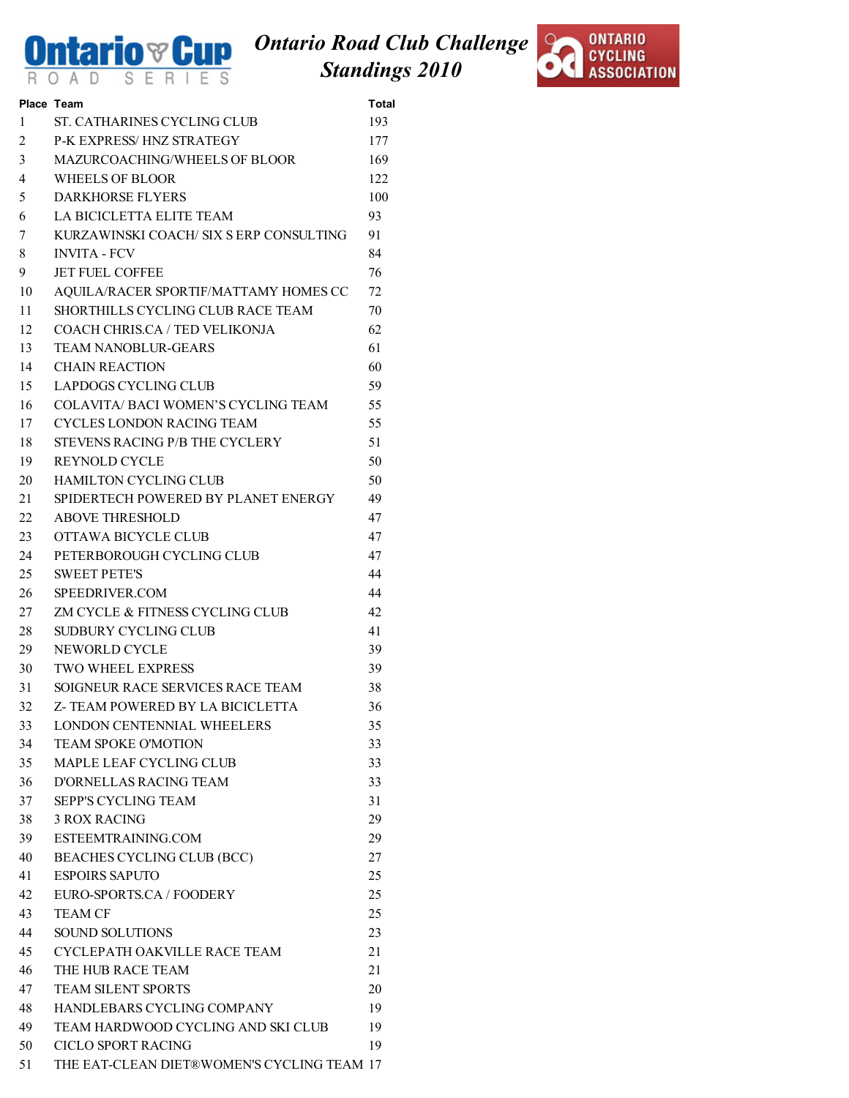

## Ontario Road Club Challenge Standings 2010



|    | Place Team                                 | <b>Total</b> |
|----|--------------------------------------------|--------------|
| 1  | ST. CATHARINES CYCLING CLUB                | 193          |
| 2  | <b>P-K EXPRESS/HNZ STRATEGY</b>            | 177          |
| 3  | <b>MAZURCOACHING/WHEELS OF BLOOR</b>       | 169          |
| 4  | <b>WHEELS OF BLOOR</b>                     | 122          |
| 5  | <b>DARKHORSE FLYERS</b>                    | 100          |
| 6  | LA BICICLETTA ELITE TEAM                   | 93           |
| 7  | KURZAWINSKI COACH/ SIX S ERP CONSULTING    | 91           |
| 8  | <b>INVITA - FCV</b>                        | 84           |
| 9  | <b>JET FUEL COFFEE</b>                     | 76           |
| 10 | AQUILA/RACER SPORTIF/MATTAMY HOMES CC      | 72           |
| 11 | SHORTHILLS CYCLING CLUB RACE TEAM          | 70           |
| 12 | COACH CHRIS.CA / TED VELIKONJA             | 62           |
| 13 | <b>TEAM NANOBLUR-GEARS</b>                 | 61           |
| 14 | <b>CHAIN REACTION</b>                      | 60           |
| 15 | LAPDOGS CYCLING CLUB                       | 59           |
| 16 | <b>COLAVITA/ BACI WOMEN'S CYCLING TEAM</b> | 55           |
| 17 | CYCLES LONDON RACING TEAM                  | 55           |
| 18 | STEVENS RACING P/B THE CYCLERY             | 51           |
| 19 | <b>REYNOLD CYCLE</b>                       | 50           |
| 20 | <b>HAMILTON CYCLING CLUB</b>               | 50           |
| 21 | SPIDERTECH POWERED BY PLANET ENERGY        | 49           |
| 22 | <b>ABOVE THRESHOLD</b>                     | 47           |
|    | OTTAWA BICYCLE CLUB                        | 47           |
| 23 | PETERBOROUGH CYCLING CLUB                  | 47           |
| 24 |                                            |              |
| 25 | <b>SWEET PETE'S</b>                        | 44           |
| 26 | SPEEDRIVER.COM                             | 44           |
| 27 | ZM CYCLE & FITNESS CYCLING CLUB            | 42           |
| 28 | SUDBURY CYCLING CLUB                       | 41           |
| 29 | NEWORLD CYCLE                              | 39           |
| 30 | <b>TWO WHEEL EXPRESS</b>                   | 39           |
| 31 | SOIGNEUR RACE SERVICES RACE TEAM           | 38           |
| 32 | Z- TEAM POWERED BY LA BICICLETTA           | 36           |
|    | 33 LONDON CENTENNIAL WHEELERS              | 35           |
| 34 | TEAM SPOKE O'MOTION                        | 33           |
| 35 | MAPLE LEAF CYCLING CLUB                    | 33           |
| 36 | D'ORNELLAS RACING TEAM                     | 33           |
| 37 | <b>SEPP'S CYCLING TEAM</b>                 | 31           |
| 38 | <b>3 ROX RACING</b>                        | 29           |
| 39 | ESTEEMTRAINING.COM                         | 29           |
| 40 | BEACHES CYCLING CLUB (BCC)                 | 27           |
| 41 | <b>ESPOIRS SAPUTO</b>                      | 25           |
| 42 | EURO-SPORTS.CA / FOODERY                   | 25           |
| 43 | <b>TEAM CF</b>                             | 25           |
| 44 | <b>SOUND SOLUTIONS</b>                     | 23           |
| 45 | CYCLEPATH OAKVILLE RACE TEAM               | 21           |
| 46 | THE HUB RACE TEAM                          | 21           |
| 47 | <b>TEAM SILENT SPORTS</b>                  | 20           |
| 48 | HANDLEBARS CYCLING COMPANY                 | 19           |
| 49 | TEAM HARDWOOD CYCLING AND SKI CLUB         | 19           |
| 50 | <b>CICLO SPORT RACING</b>                  | 19           |
| 51 | THE EAT-CLEAN DIET®WOMEN'S CYCLING TEAM 17 |              |